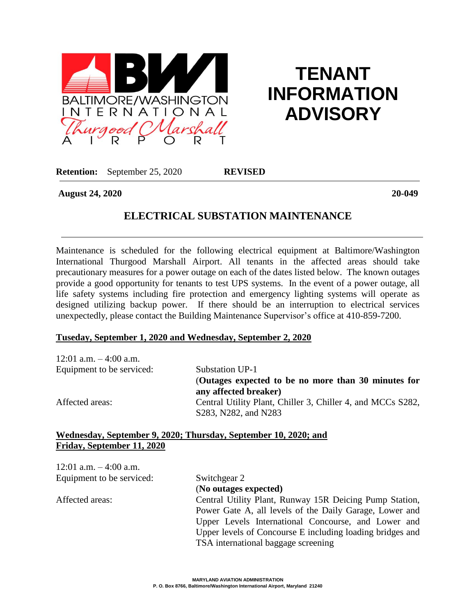

# **TENANT INFORMATION ADVISORY**

**Retention:** September 25, 2020 **REVISED**

**August 24, 2020 20-049**

## **ELECTRICAL SUBSTATION MAINTENANCE**

Maintenance is scheduled for the following electrical equipment at Baltimore/Washington International Thurgood Marshall Airport. All tenants in the affected areas should take precautionary measures for a power outage on each of the dates listed below. The known outages provide a good opportunity for tenants to test UPS systems. In the event of a power outage, all life safety systems including fire protection and emergency lighting systems will operate as designed utilizing backup power. If there should be an interruption to electrical services unexpectedly, please contact the Building Maintenance Supervisor's office at 410-859-7200.

#### **Tuseday, September 1, 2020 and Wednesday, September 2, 2020**

| 12:01 a.m. $-4:00$ a.m.   |                                                                                     |
|---------------------------|-------------------------------------------------------------------------------------|
| Equipment to be serviced: | Substation UP-1                                                                     |
|                           | (Outages expected to be no more than 30 minutes for<br>any affected breaker)        |
| Affected areas:           | Central Utility Plant, Chiller 3, Chiller 4, and MCCs S282,<br>S283, N282, and N283 |

#### **Wednesday, September 9, 2020; Thursday, September 10, 2020; and Friday, September 11, 2020**

| Switchgear 2                                              |
|-----------------------------------------------------------|
| (No outages expected)                                     |
| Central Utility Plant, Runway 15R Deicing Pump Station,   |
| Power Gate A, all levels of the Daily Garage, Lower and   |
| Upper Levels International Concourse, and Lower and       |
| Upper levels of Concourse E including loading bridges and |
| TSA international baggage screening                       |
|                                                           |